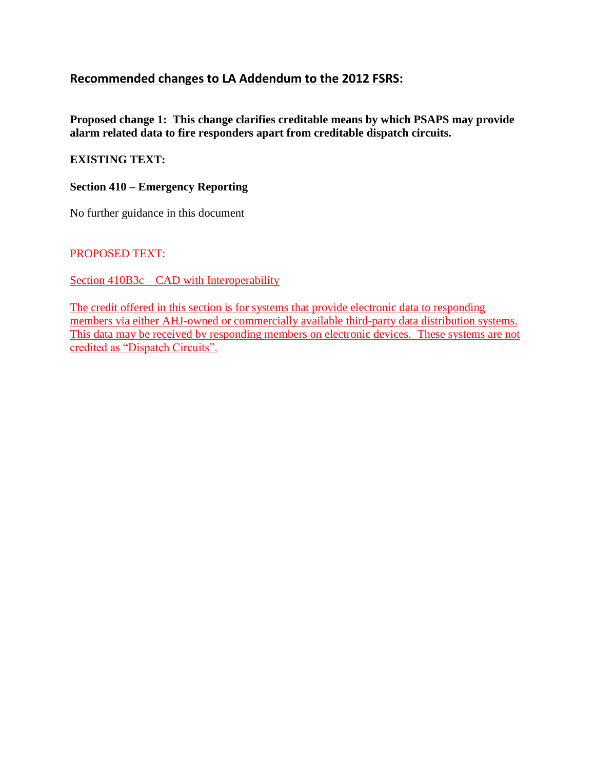## **Recommended changes to LA Addendum to the 2012 FSRS:**

**Proposed change 1: This change clarifies creditable means by which PSAPS may provide alarm related data to fire responders apart from creditable dispatch circuits.**

#### **EXISTING TEXT:**

#### **Section 410 – Emergency Reporting**

No further guidance in this document

PROPOSED TEXT:

Section 410B3c – CAD with Interoperability

The credit offered in this section is for systems that provide electronic data to responding members via either AHJ-owned or commercially available third-party data distribution systems. This data may be received by responding members on electronic devices. These systems are not credited as "Dispatch Circuits".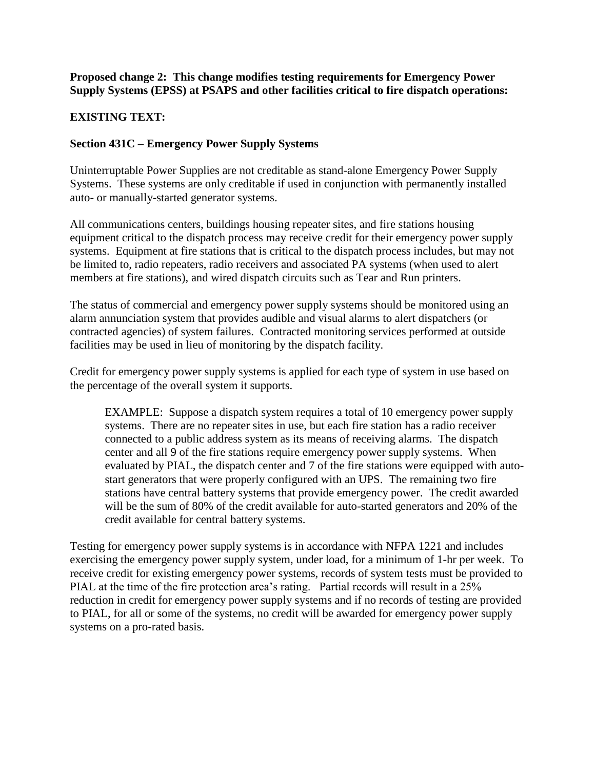#### **Proposed change 2: This change modifies testing requirements for Emergency Power Supply Systems (EPSS) at PSAPS and other facilities critical to fire dispatch operations:**

## **EXISTING TEXT:**

### **Section 431C – Emergency Power Supply Systems**

Uninterruptable Power Supplies are not creditable as stand-alone Emergency Power Supply Systems. These systems are only creditable if used in conjunction with permanently installed auto- or manually-started generator systems.

All communications centers, buildings housing repeater sites, and fire stations housing equipment critical to the dispatch process may receive credit for their emergency power supply systems. Equipment at fire stations that is critical to the dispatch process includes, but may not be limited to, radio repeaters, radio receivers and associated PA systems (when used to alert members at fire stations), and wired dispatch circuits such as Tear and Run printers.

The status of commercial and emergency power supply systems should be monitored using an alarm annunciation system that provides audible and visual alarms to alert dispatchers (or contracted agencies) of system failures. Contracted monitoring services performed at outside facilities may be used in lieu of monitoring by the dispatch facility.

Credit for emergency power supply systems is applied for each type of system in use based on the percentage of the overall system it supports.

EXAMPLE: Suppose a dispatch system requires a total of 10 emergency power supply systems. There are no repeater sites in use, but each fire station has a radio receiver connected to a public address system as its means of receiving alarms. The dispatch center and all 9 of the fire stations require emergency power supply systems. When evaluated by PIAL, the dispatch center and 7 of the fire stations were equipped with autostart generators that were properly configured with an UPS. The remaining two fire stations have central battery systems that provide emergency power. The credit awarded will be the sum of 80% of the credit available for auto-started generators and 20% of the credit available for central battery systems.

Testing for emergency power supply systems is in accordance with NFPA 1221 and includes exercising the emergency power supply system, under load, for a minimum of 1-hr per week. To receive credit for existing emergency power systems, records of system tests must be provided to PIAL at the time of the fire protection area's rating. Partial records will result in a 25% reduction in credit for emergency power supply systems and if no records of testing are provided to PIAL, for all or some of the systems, no credit will be awarded for emergency power supply systems on a pro-rated basis.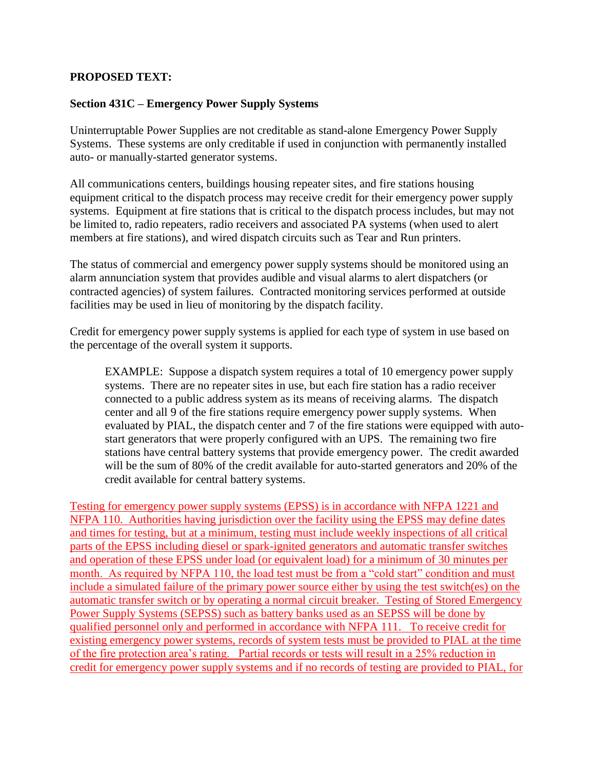#### **PROPOSED TEXT:**

#### **Section 431C – Emergency Power Supply Systems**

Uninterruptable Power Supplies are not creditable as stand-alone Emergency Power Supply Systems. These systems are only creditable if used in conjunction with permanently installed auto- or manually-started generator systems.

All communications centers, buildings housing repeater sites, and fire stations housing equipment critical to the dispatch process may receive credit for their emergency power supply systems. Equipment at fire stations that is critical to the dispatch process includes, but may not be limited to, radio repeaters, radio receivers and associated PA systems (when used to alert members at fire stations), and wired dispatch circuits such as Tear and Run printers.

The status of commercial and emergency power supply systems should be monitored using an alarm annunciation system that provides audible and visual alarms to alert dispatchers (or contracted agencies) of system failures. Contracted monitoring services performed at outside facilities may be used in lieu of monitoring by the dispatch facility.

Credit for emergency power supply systems is applied for each type of system in use based on the percentage of the overall system it supports.

EXAMPLE: Suppose a dispatch system requires a total of 10 emergency power supply systems. There are no repeater sites in use, but each fire station has a radio receiver connected to a public address system as its means of receiving alarms. The dispatch center and all 9 of the fire stations require emergency power supply systems. When evaluated by PIAL, the dispatch center and 7 of the fire stations were equipped with autostart generators that were properly configured with an UPS. The remaining two fire stations have central battery systems that provide emergency power. The credit awarded will be the sum of 80% of the credit available for auto-started generators and 20% of the credit available for central battery systems.

Testing for emergency power supply systems (EPSS) is in accordance with NFPA 1221 and NFPA 110. Authorities having jurisdiction over the facility using the EPSS may define dates and times for testing, but at a minimum, testing must include weekly inspections of all critical parts of the EPSS including diesel or spark-ignited generators and automatic transfer switches and operation of these EPSS under load (or equivalent load) for a minimum of 30 minutes per month. As required by NFPA 110, the load test must be from a "cold start" condition and must include a simulated failure of the primary power source either by using the test switch(es) on the automatic transfer switch or by operating a normal circuit breaker. Testing of Stored Emergency Power Supply Systems (SEPSS) such as battery banks used as an SEPSS will be done by qualified personnel only and performed in accordance with NFPA 111. To receive credit for existing emergency power systems, records of system tests must be provided to PIAL at the time of the fire protection area's rating. Partial records or tests will result in a 25% reduction in credit for emergency power supply systems and if no records of testing are provided to PIAL, for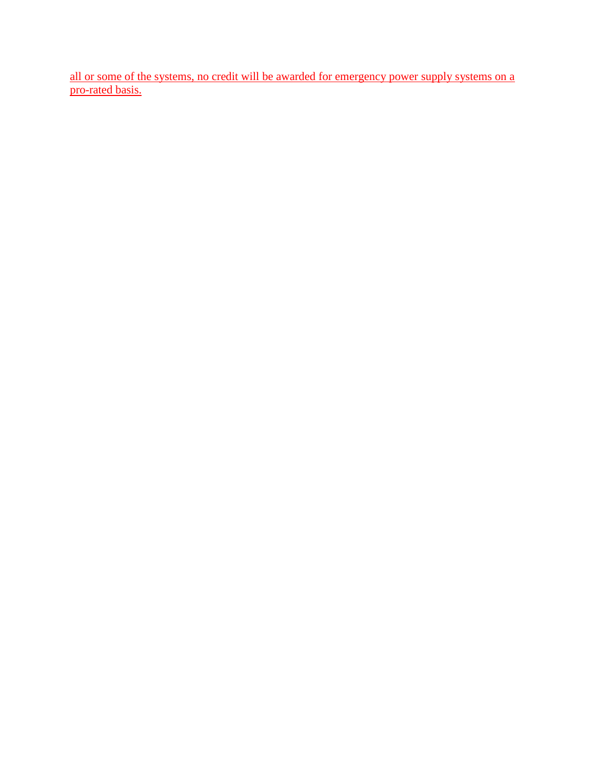all or some of the systems, no credit will be awarded for emergency power supply systems on a pro-rated basis.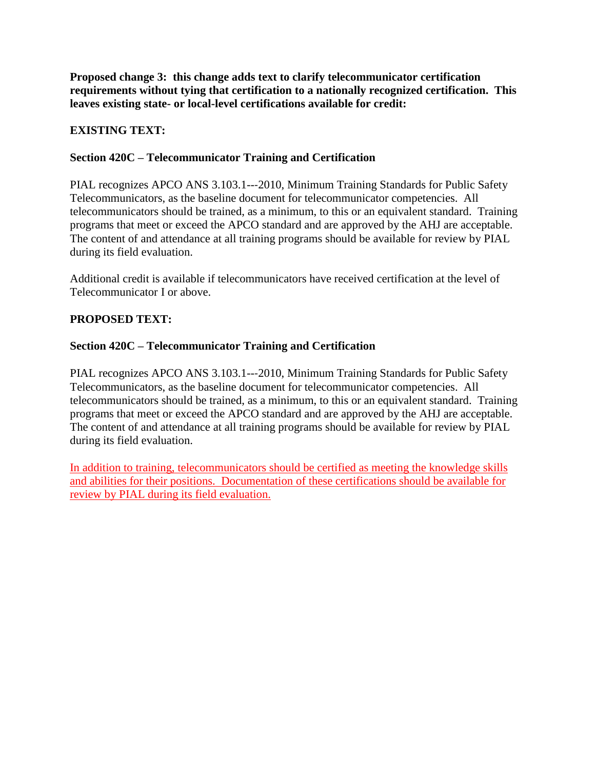**Proposed change 3: this change adds text to clarify telecommunicator certification requirements without tying that certification to a nationally recognized certification. This leaves existing state- or local-level certifications available for credit:**

## **EXISTING TEXT:**

## **Section 420C – Telecommunicator Training and Certification**

PIAL recognizes APCO ANS 3.103.1---2010, Minimum Training Standards for Public Safety Telecommunicators, as the baseline document for telecommunicator competencies. All telecommunicators should be trained, as a minimum, to this or an equivalent standard. Training programs that meet or exceed the APCO standard and are approved by the AHJ are acceptable. The content of and attendance at all training programs should be available for review by PIAL during its field evaluation.

Additional credit is available if telecommunicators have received certification at the level of Telecommunicator I or above.

## **PROPOSED TEXT:**

### **Section 420C – Telecommunicator Training and Certification**

PIAL recognizes APCO ANS 3.103.1---2010, Minimum Training Standards for Public Safety Telecommunicators, as the baseline document for telecommunicator competencies. All telecommunicators should be trained, as a minimum, to this or an equivalent standard. Training programs that meet or exceed the APCO standard and are approved by the AHJ are acceptable. The content of and attendance at all training programs should be available for review by PIAL during its field evaluation.

In addition to training, telecommunicators should be certified as meeting the knowledge skills and abilities for their positions. Documentation of these certifications should be available for review by PIAL during its field evaluation.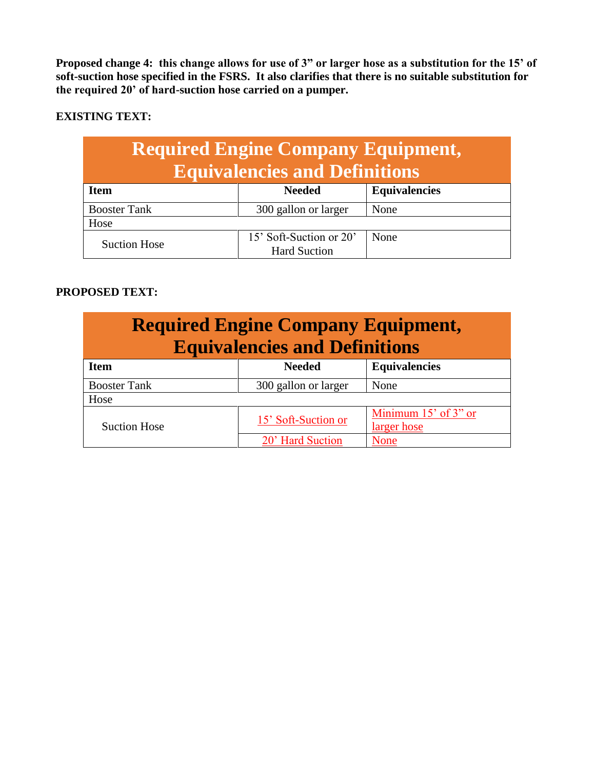**Proposed change 4: this change allows for use of 3" or larger hose as a substitution for the 15' of soft-suction hose specified in the FSRS. It also clarifies that there is no suitable substitution for the required 20' of hard-suction hose carried on a pumper.**

### **EXISTING TEXT:**

| <b>Required Engine Company Equipment,</b> |               |                      |  |
|-------------------------------------------|---------------|----------------------|--|
| <b>Equivalencies and Definitions</b>      |               |                      |  |
| Item                                      | <b>Needed</b> | <b>Equivalencies</b> |  |

| <b>Booster Tank</b> | 300 gallon or larger    | None |  |
|---------------------|-------------------------|------|--|
| Hose                |                         |      |  |
| Suction Hose        | 15' Soft-Suction or 20' | None |  |
|                     | <b>Hard Suction</b>     |      |  |

## **PROPOSED TEXT:**

| <b>Required Engine Company Equipment,</b><br><b>Equivalencies and Definitions</b> |                      |                      |  |
|-----------------------------------------------------------------------------------|----------------------|----------------------|--|
| <b>Item</b>                                                                       | <b>Needed</b>        | <b>Equivalencies</b> |  |
| <b>Booster Tank</b>                                                               | 300 gallon or larger | None                 |  |
| Hose                                                                              |                      |                      |  |
| <b>Suction Hose</b>                                                               | 15' Soft-Suction or  | Minimum 15' of 3" or |  |
|                                                                                   |                      | larger hose          |  |
|                                                                                   | 20' Hard Suction     | None                 |  |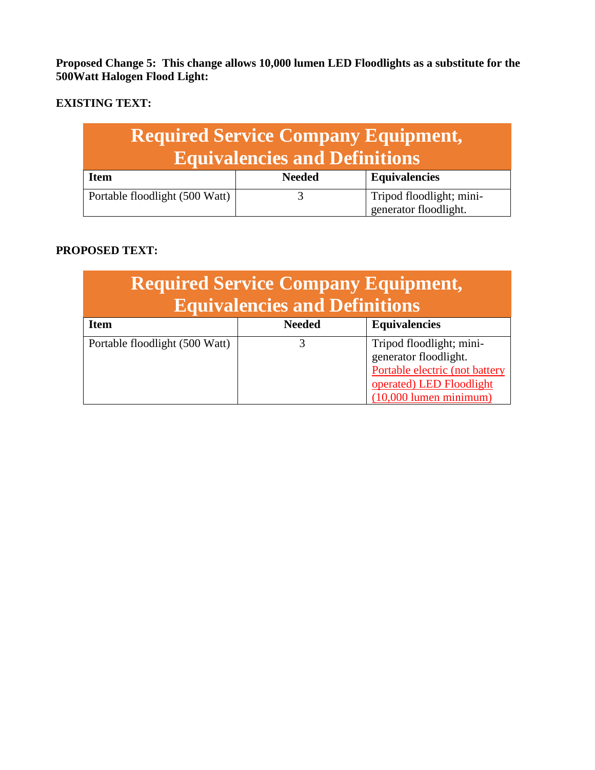**Proposed Change 5: This change allows 10,000 lumen LED Floodlights as a substitute for the 500Watt Halogen Flood Light:**

# **EXISTING TEXT:**

| <b>Required Service Company Equipment,</b><br><b>Equivalencies and Definitions</b> |               |                                                   |
|------------------------------------------------------------------------------------|---------------|---------------------------------------------------|
| <b>Item</b>                                                                        | <b>Needed</b> | <b>Equivalencies</b>                              |
| Portable floodlight (500 Watt)                                                     |               | Tripod floodlight; mini-<br>generator floodlight. |

## **PROPOSED TEXT:**

| <b>Required Service Company Equipment,</b><br><b>Equivalencies and Definitions</b> |               |                                                                                                                                             |  |
|------------------------------------------------------------------------------------|---------------|---------------------------------------------------------------------------------------------------------------------------------------------|--|
| <b>Item</b>                                                                        | <b>Needed</b> | <b>Equivalencies</b>                                                                                                                        |  |
| Portable floodlight (500 Watt)                                                     |               | Tripod floodlight; mini-<br>generator floodlight.<br>Portable electric (not battery<br>operated) LED Floodlight<br>$(10,000$ lumen minimum) |  |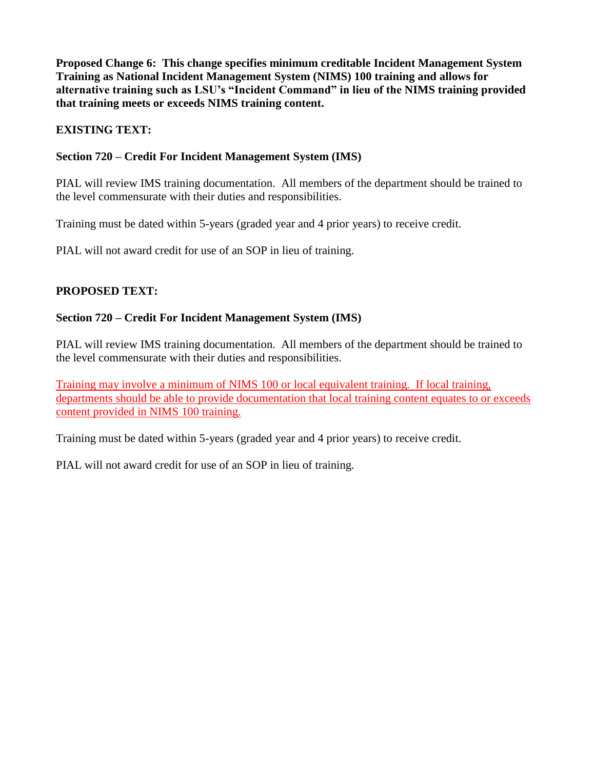**Proposed Change 6: This change specifies minimum creditable Incident Management System Training as National Incident Management System (NIMS) 100 training and allows for alternative training such as LSU's "Incident Command" in lieu of the NIMS training provided that training meets or exceeds NIMS training content.**

## **EXISTING TEXT:**

## **Section 720 – Credit For Incident Management System (IMS)**

PIAL will review IMS training documentation. All members of the department should be trained to the level commensurate with their duties and responsibilities.

Training must be dated within 5-years (graded year and 4 prior years) to receive credit.

PIAL will not award credit for use of an SOP in lieu of training.

## **PROPOSED TEXT:**

### **Section 720 – Credit For Incident Management System (IMS)**

PIAL will review IMS training documentation. All members of the department should be trained to the level commensurate with their duties and responsibilities.

Training may involve a minimum of NIMS 100 or local equivalent training. If local training, departments should be able to provide documentation that local training content equates to or exceeds content provided in NIMS 100 training.

Training must be dated within 5-years (graded year and 4 prior years) to receive credit.

PIAL will not award credit for use of an SOP in lieu of training.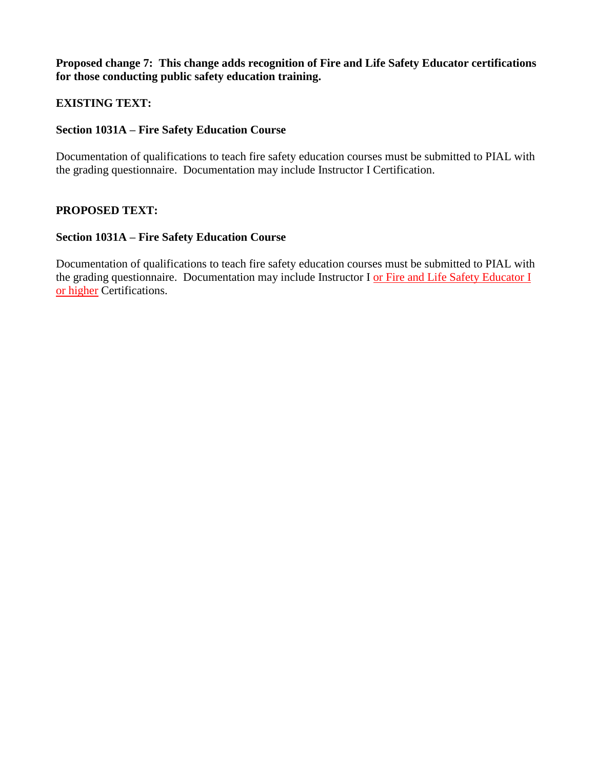**Proposed change 7: This change adds recognition of Fire and Life Safety Educator certifications for those conducting public safety education training.**

#### **EXISTING TEXT:**

#### **Section 1031A – Fire Safety Education Course**

Documentation of qualifications to teach fire safety education courses must be submitted to PIAL with the grading questionnaire. Documentation may include Instructor I Certification.

#### **PROPOSED TEXT:**

#### **Section 1031A – Fire Safety Education Course**

Documentation of qualifications to teach fire safety education courses must be submitted to PIAL with the grading questionnaire. Documentation may include Instructor I or Fire and Life Safety Educator I or higher Certifications.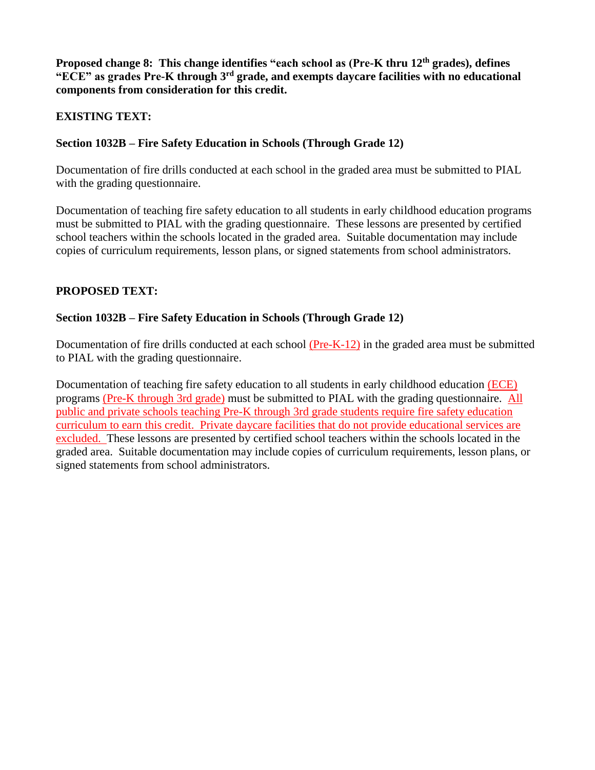**Proposed change 8: This change identifies "each school as (Pre-K thru 12th grades), defines "ECE" as grades Pre-K through 3rd grade, and exempts daycare facilities with no educational components from consideration for this credit.** 

### **EXISTING TEXT:**

#### **Section 1032B – Fire Safety Education in Schools (Through Grade 12)**

Documentation of fire drills conducted at each school in the graded area must be submitted to PIAL with the grading questionnaire.

Documentation of teaching fire safety education to all students in early childhood education programs must be submitted to PIAL with the grading questionnaire. These lessons are presented by certified school teachers within the schools located in the graded area. Suitable documentation may include copies of curriculum requirements, lesson plans, or signed statements from school administrators.

#### **PROPOSED TEXT:**

#### **Section 1032B – Fire Safety Education in Schools (Through Grade 12)**

Documentation of fire drills conducted at each school (Pre-K-12) in the graded area must be submitted to PIAL with the grading questionnaire.

Documentation of teaching fire safety education to all students in early childhood education (ECE) programs (Pre-K through 3rd grade) must be submitted to PIAL with the grading questionnaire. All public and private schools teaching Pre-K through 3rd grade students require fire safety education curriculum to earn this credit. Private daycare facilities that do not provide educational services are excluded. These lessons are presented by certified school teachers within the schools located in the graded area. Suitable documentation may include copies of curriculum requirements, lesson plans, or signed statements from school administrators.